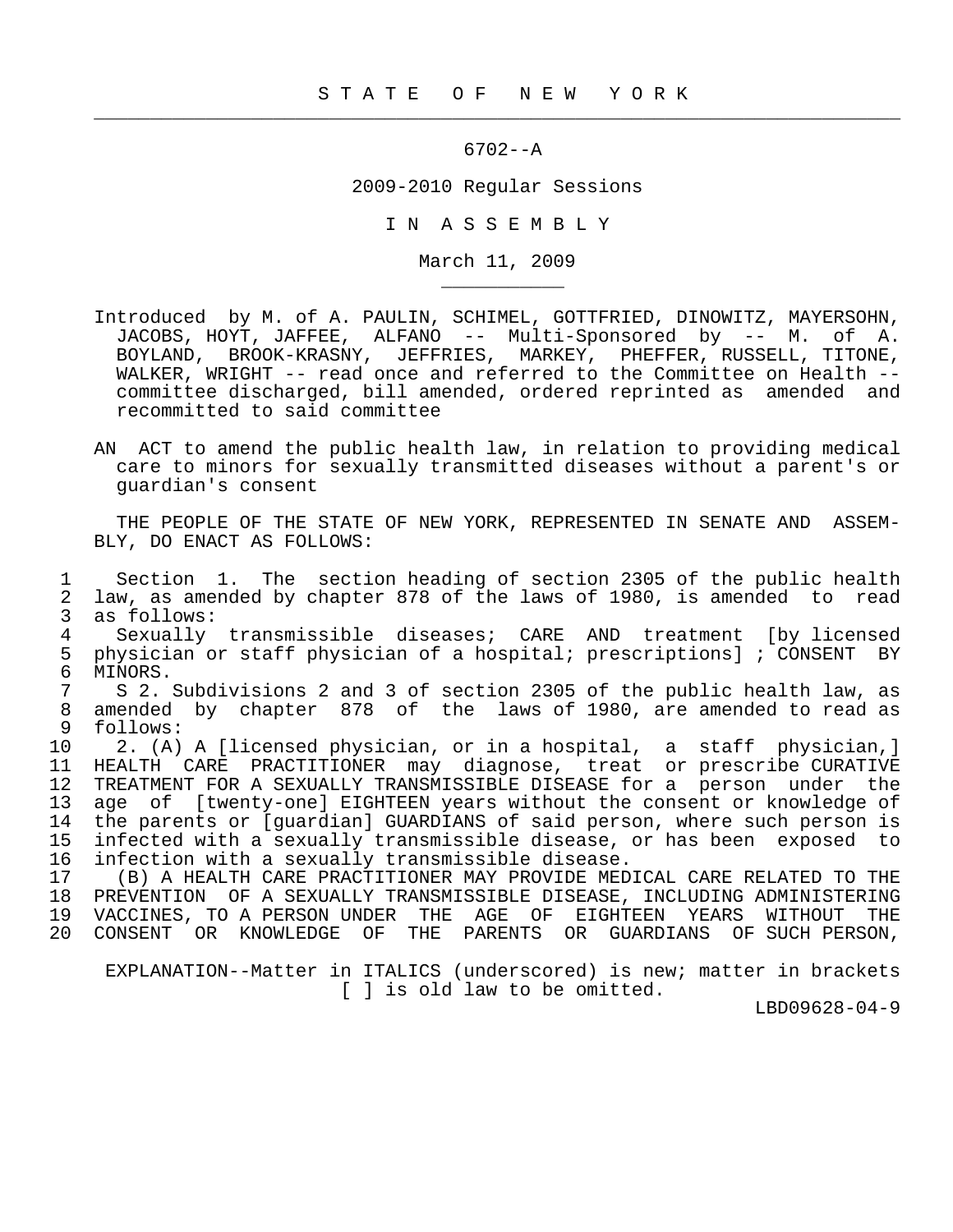$\frac{1}{2}$  , and the contribution of the contribution of the contribution of the contribution of the contribution of the contribution of the contribution of the contribution of the contribution of the contribution of the c

\_\_\_\_\_\_\_\_\_\_\_

## 6702--A

## 2009-2010 Regular Sessions

I N A S S E M B L Y

March 11, 2009

- Introduced by M. of A. PAULIN, SCHIMEL, GOTTFRIED, DINOWITZ, MAYERSOHN, JACOBS, HOYT, JAFFEE, ALFANO -- Multi-Sponsored by -- M. of A. BOYLAND, BROOK-KRASNY, JEFFRIES, MARKEY, PHEFFER, RUSSELL, TITONE, WALKER, WRIGHT -- read once and referred to the Committee on Health - committee discharged, bill amended, ordered reprinted as amended and recommitted to said committee
- AN ACT to amend the public health law, in relation to providing medical care to minors for sexually transmitted diseases without a parent's or guardian's consent

 THE PEOPLE OF THE STATE OF NEW YORK, REPRESENTED IN SENATE AND ASSEM- BLY, DO ENACT AS FOLLOWS:

 1 Section 1. The section heading of section 2305 of the public health 2 law, as amended by chapter 878 of the laws of 1980, is amended to read 3 as follows:<br>4 Sexually

4 Sexually transmissible diseases; CARE AND treatment [by licensed<br>5 physician or staff physician of a hospital; prescriptions]; CONSENT BY 5 physician or staff physician of a hospital; prescriptions]; CONSENT BY<br>6 MINORS. 6 MINORS.<br>7 S 2.

7 S 2. Subdivisions 2 and 3 of section 2305 of the public health law, as<br>8 amended by chapter 878 of the laws of 1980, are amended to read as 8 amended by chapter 878 of the laws of 1980, are amended to read as  $\begin{array}{cc} 9 & \text{follows:} \\ 10 & 2. & (A) \end{array}$ 

2. (A) A [licensed physician, or in a hospital, a staff physician,] 11 HEALTH CARE PRACTITIONER may diagnose, treat or prescribe CURATIVE 12 TREATMENT FOR A SEXUALLY TRANSMISSIBLE DISEASE for a person under the<br>13 age of [twenty-one] EIGHTEEN years without the consent or knowledge of 13 age of [twenty-one] EIGHTEEN years without the consent or knowledge of<br>14 the parents or [quardian] GUARDIANS of said person, where such person is 14 the parents or [guardian] GUARDIANS of said person, where such person is<br>15 infected with a sexually transmissible disease, or has been exposed to infected with a sexually transmissible disease, or has been exposed to 16 infection with a sexually transmissible disease.

 17 (B) A HEALTH CARE PRACTITIONER MAY PROVIDE MEDICAL CARE RELATED TO THE 18 PREVENTION OF A SEXUALLY TRANSMISSIBLE DISEASE, INCLUDING ADMINISTERING 19 VACCINES, TO A PERSON UNDER THE AGE OF EIGHTEEN YEARS WITHOUT THE 20 CONSENT OR KNOWLEDGE OF THE PARENTS OR GUARDIANS OF SUCH PERSON,

 EXPLANATION--Matter in ITALICS (underscored) is new; matter in brackets [ ] is old law to be omitted.

LBD09628-04-9